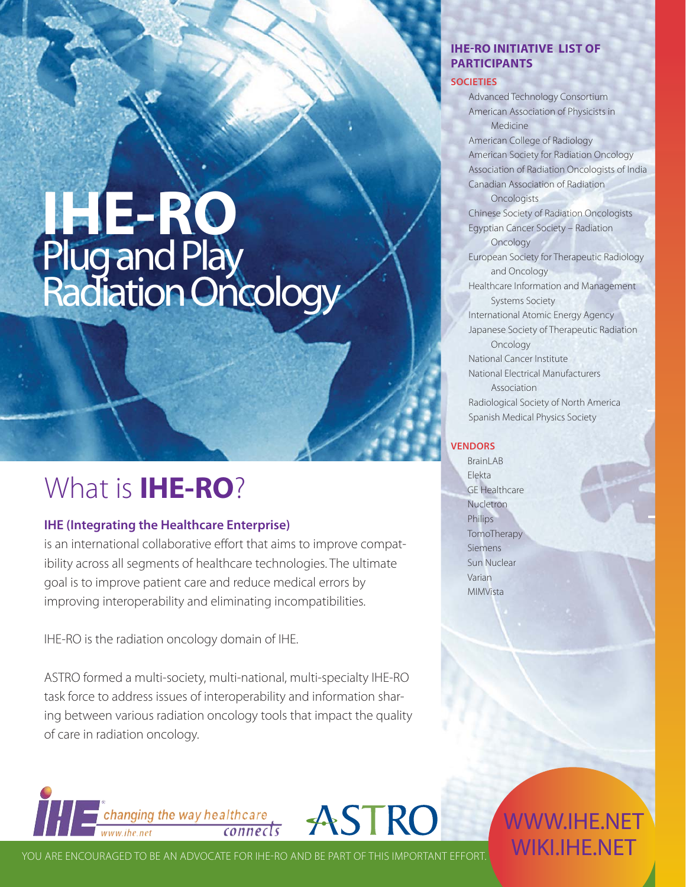# **IHE-RO** Plug and Play Radiation Oncology

### What is **IHE-RO**?

#### **IHE (Integrating the Healthcare Enterprise)**

is an international collaborative effort that aims to improve compatibility across all segments of healthcare technologies. The ultimate goal is to improve patient care and reduce medical errors by improving interoperability and eliminating incompatibilities.

IHE-RO is the radiation oncology domain of IHE.

ASTRO formed a multi-society, multi-national, multi-specialty IHE-RO task force to address issues of interoperability and information sharing between various radiation oncology tools that impact the quality of care in radiation oncology.

#### **PARTICIPANTS SOCIETIES** Advanced Technology Consortium

**IHE-RO INITIATIVE LIST OF** 

American Association of Physicists in Medicine American College of Radiology American Society for Radiation Oncology Association of Radiation Oncologists of India Canadian Association of Radiation **Oncologists** Chinese Society of Radiation Oncologists Egyptian Cancer Society – Radiation **Oncology** European Society for Therapeutic Radiology and Oncology Healthcare Information and Management Systems Society International Atomic Energy Agency Japanese Society of Therapeutic Radiation **Oncology** National Cancer Institute National Electrical Manufacturers Association Radiological Society of North America Spanish Medical Physics Society

#### **VENDORS**

BrainLAB Elekta GE Healthcare Nucletron Philips TomoTherapy Siemens Sun Nuclear Varian MIMVista

**THE Changing the way healthcare ASTRO** 

YOU ARE ENCOURAGED TO BE AN ADVOCATE FOR IHE-RO AND BE PART OF THIS IMPORTANT EFFORT.

WWW.IHE.NET WIKI.IHE.NET